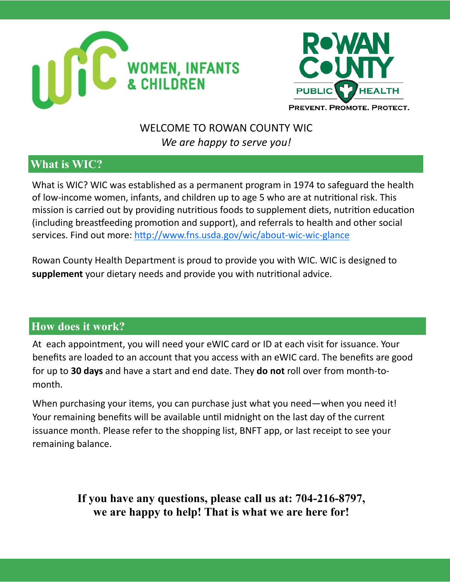



# WELCOME TO ROWAN COUNTY WIC *We are happy to serve you!*

# **What is WIC?**

What is WIC? WIC was established as a permanent program in 1974 to safeguard the health of low-income women, infants, and children up to age 5 who are at nutritional risk. This mission is carried out by providing nutritious foods to supplement diets, nutrition education (including breastfeeding promotion and support), and referrals to health and other social services. Find out more: [http://www.fns.usda.gov/wic/about](http://www.fns.usda.gov/wic/about-wic-wic-glance)-wic-wic-glance

Rowan County Health Department is proud to provide you with WIC. WIC is designed to **supplement** your dietary needs and provide you with nutritional advice.

# **How does it work?**

At each appointment, you will need your eWIC card or ID at each visit for issuance. Your benefits are loaded to an account that you access with an eWIC card. The benefits are good for up to **30 days** and have a start and end date. They **do not** roll over from month-tomonth.

When purchasing your items, you can purchase just what you need—when you need it! Your remaining benefits will be available until midnight on the last day of the current issuance month. Please refer to the shopping list, BNFT app, or last receipt to see your remaining balance.

> **If you have any questions, please call us at: 704-216-8797, we are happy to help! That is what we are here for!**